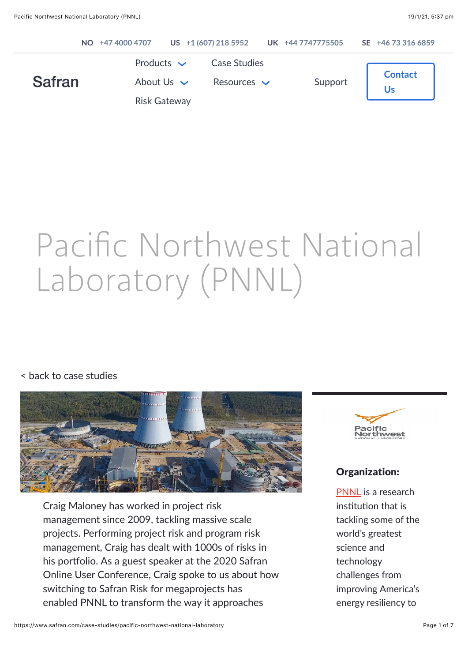|               | NO +47 4000 4707                                          |                                         | US +1 (607) 218 5952 UK +44 7747775505 | SE +46 73 316 6859 |
|---------------|-----------------------------------------------------------|-----------------------------------------|----------------------------------------|--------------------|
| <b>Safran</b> | Products $\sim$<br>About Us $\vee$<br><b>Risk Gateway</b> | <b>Case Studies</b><br>Resources $\sim$ | Support                                | <b>Contact</b>     |

# Pacific Northwest National Laboratory (PNNL)

#### [< back to case studies](https://www.safran.com/case-studies)



Craig Maloney has worked in project risk management since 2009, tackling massive scale projects. Performing project risk and program risk management, Craig has dealt with 1000s of risks in his portfolio. As a guest speaker at the 2020 Safran Online User Conference, Craig spoke to us about how switching to Safran Risk for megaprojects has enabled PNNL to transform the way it approaches



#### Organization:

[PNNL](https://rds.pnnl.gov/) is a research institution that is tackling some of the world's greatest science and technology challenges from improving America's energy resiliency to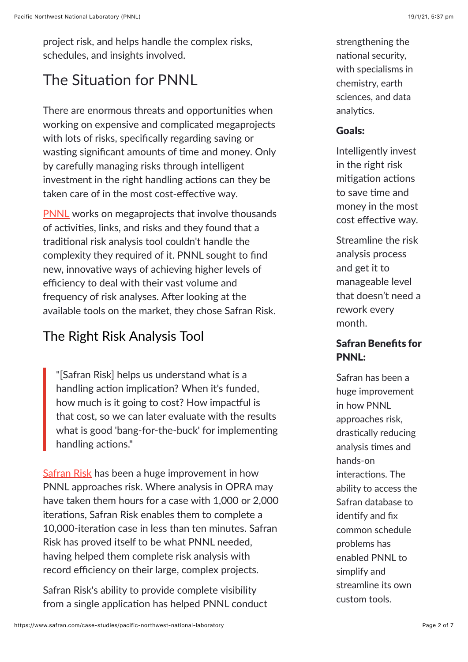project risk, and helps handle the complex risks, schedules, and insights involved.

## The Situation for PNNL

There are enormous threats and opportunities when working on expensive and complicated megaprojects with lots of risks, specifically regarding saving or wasting significant amounts of time and money. Only by carefully managing risks through intelligent investment in the right handling actions can they be taken care of in the most cost-effective way.

[PNNL](https://rds.pnnl.gov/) works on megaprojects that involve thousands of activities, links, and risks and they found that a traditional risk analysis tool couldn't handle the complexity they required of it. PNNL sought to find new, innovative ways of achieving higher levels of efficiency to deal with their vast volume and frequency of risk analyses. After looking at the available tools on the market, they chose Safran Risk.

## The Right Risk Analysis Tool

"[Safran Risk] helps us understand what is a handling action implication? When it's funded, how much is it going to cost? How impactful is that cost, so we can later evaluate with the results what is good 'bang-for-the-buck' for implementing handling actions."

**Safran Risk** has been a huge improvement in how PNNL approaches risk. Where analysis in OPRA may have taken them hours for a case with 1,000 or 2,000 iterations, Safran Risk enables them to complete a 10,000-iteration case in less than ten minutes. Safran Risk has proved itself to be what PNNL needed, having helped them complete risk analysis with record efficiency on their large, complex projects.

Safran Risk's ability to provide complete visibility from a single application has helped PNNL conduct strengthening the national security, with specialisms in chemistry, earth sciences, and data analytics.

#### Goals:

Intelligently invest in the right risk mitigation actions to save time and money in the most cost effective way.

Streamline the risk analysis process and get it to manageable level that doesn't need a rework every month.

#### Safran Benefits for PNNL:

Safran has been a huge improvement in how PNNL approaches risk, drastically reducing analysis times and hands-on interactions. The ability to access the Safran database to identify and fix common schedule problems has enabled PNNL to simplify and streamline its own custom tools.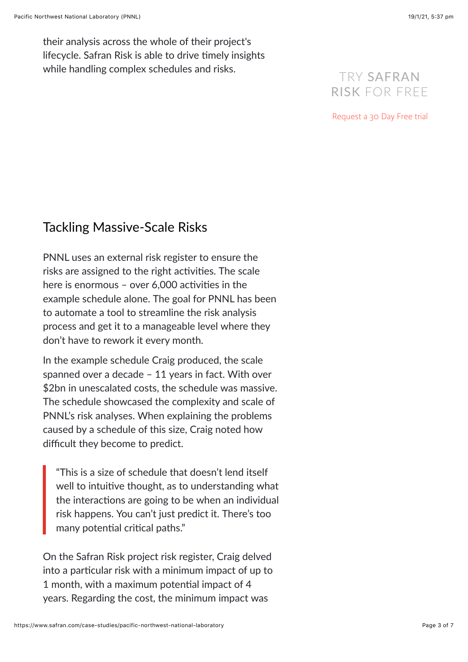their analysis across the whole of their project's lifecycle. Safran Risk is able to drive timely insights while handling complex schedules and risks.

## TRY SAFRAN RISK FOR FREE

[Request a 30 Day Free trial](https://www.safran.com/risk-free-trial)

## Tackling Massive-Scale Risks

PNNL uses an external risk register to ensure the risks are assigned to the right activities. The scale here is enormous - over  $6,000$  activities in the example schedule alone. The goal for PNNL has been to automate a tool to streamline the risk analysis process and get it to a manageable level where they don't have to rework it every month.

In the example schedule Craig produced, the scale spanned over a decade – 11 years in fact. With over \$2bn in unescalated costs, the schedule was massive. The schedule showcased the complexity and scale of PNNL's risk analyses. When explaining the problems caused by a schedule of this size, Craig noted how difficult they become to predict.

"This is a size of schedule that doesn't lend itself well to intuitive thought, as to understanding what the interactions are going to be when an individual risk happens. You can't just predict it. There's too many potential critical paths."

On the Safran Risk project risk register, Craig delved into a particular risk with a minimum impact of up to 1 month, with a maximum potential impact of 4 years. Regarding the cost, the minimum impact was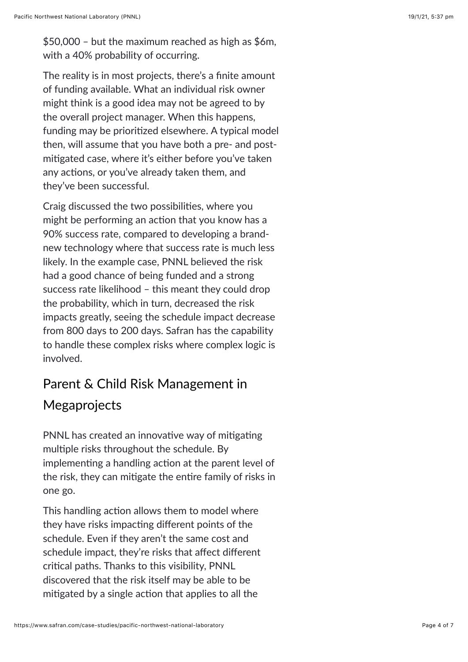The reality is in most projects, there's a finite amount of funding available. What an individual risk owner might think is a good idea may not be agreed to by the overall project manager. When this happens, funding may be prioritized elsewhere. A typical model then, will assume that you have both a pre- and postmitigated case, where it's either before you've taken any actions, or you've already taken them, and they've been successful.

Craig discussed the two possibilities, where you might be performing an action that you know has a 90% success rate, compared to developing a brandnew technology where that success rate is much less likely. In the example case, PNNL believed the risk had a good chance of being funded and a strong success rate likelihood – this meant they could drop the probability, which in turn, decreased the risk impacts greatly, seeing the schedule impact decrease from 800 days to 200 days. Safran has the capability to handle these complex risks where complex logic is involved.

# Parent & Child Risk Management in Megaprojects

PNNL has created an innovative way of mitigating multiple risks throughout the schedule. By implementing a handling action at the parent level of the risk, they can mitigate the entire family of risks in one go.

This handling action allows them to model where they have risks impacting different points of the schedule. Even if they aren't the same cost and schedule impact, they're risks that affect different critical paths. Thanks to this visibility, PNNL discovered that the risk itself may be able to be mitigated by a single action that applies to all the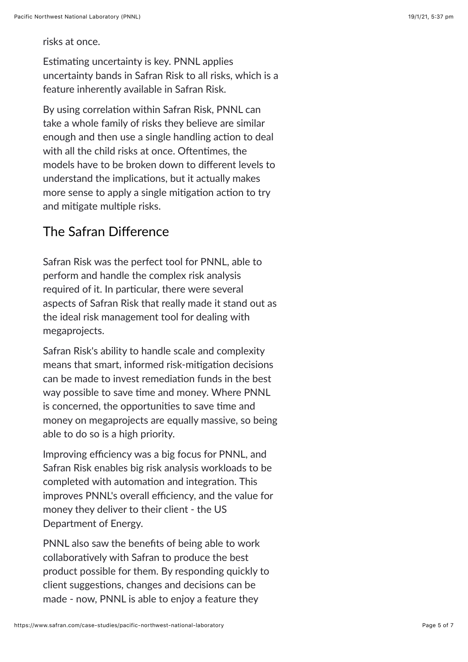risks at once.

Estimating uncertainty is key. PNNL applies uncertainty bands in Safran Risk to all risks, which is a feature inherently available in Safran Risk.

By using correlation within Safran Risk, PNNL can take a whole family of risks they believe are similar enough and then use a single handling action to deal with all the child risks at once. Oftentimes, the models have to be broken down to different levels to understand the implications, but it actually makes more sense to apply a single mitigation action to try and mitigate multiple risks.

## The Safran Difference

Safran Risk was the perfect tool for PNNL, able to perform and handle the complex risk analysis required of it. In particular, there were several aspects of Safran Risk that really made it stand out as the ideal risk management tool for dealing with megaprojects.

Safran Risk's ability to handle scale and complexity means that smart, informed risk-mitigation decisions can be made to invest remediation funds in the best way possible to save time and money. Where PNNL is concerned, the opportunities to save time and money on megaprojects are equally massive, so being able to do so is a high priority.

Improving efficiency was a big focus for PNNL, and Safran Risk enables big risk analysis workloads to be completed with automation and integration. This improves PNNL's overall efficiency, and the value for money they deliver to their client - the US Department of Energy.

PNNL also saw the benefits of being able to work collaboratively with Safran to produce the best product possible for them. By responding quickly to client suggestions, changes and decisions can be made - now, PNNL is able to enjoy a feature they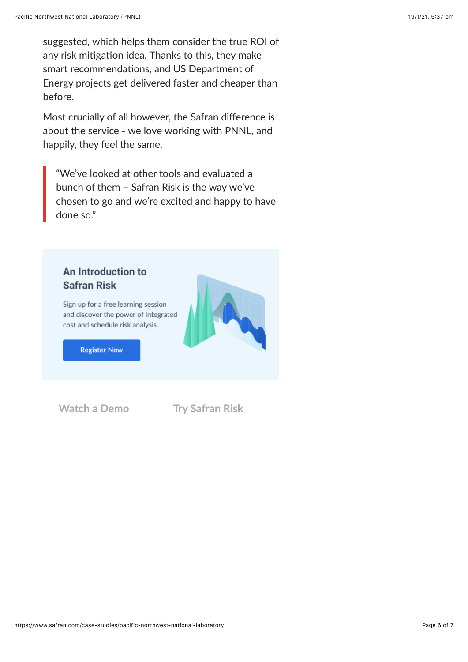suggested, which helps them consider the true ROI of any risk mitigation idea. Thanks to this, they make smart recommendations, and US Department of Energy projects get delivered faster and cheaper than before.

Most crucially of all however, the Safran difference is about the service - we love working with PNNL, and happily, they feel the same.

"We've looked at other tools and evaluated a bunch of them – Safran Risk is the way we've chosen to go and we're excited and happy to have done so."

#### An Introduction to **Safran Risk**

Sign up for a free learning session and discover the power of integrated cost and schedule risk analysis.

**Register Now** 

**[Watch a Demo](https://www.safran.com/cs/c/?cta_guid=58eb9f48-b85b-4336-bdbf-8f2e621197cd&signature=AAH58kFPJ0tZ4C8vzNtJEgVt97ABfPFcFQ&pageId=34905085979&placement_guid=9a9c836b-8002-4cbf-ab29-409a7d1bea7f&click=b052b41e-5c0f-418a-8c20-6f558b8e0f43&hsutk=effce42cd198e0cc7579cd6db51956c3&canon=https://www.safran.com/case-studies/pacific-northwest-national-laboratory&utm_referrer=https://www.safran.com/resources?types=Case+studies&topics=Risk&portal_id=2405298&redirect_url=APefjpGk-mcuOkoelsSlUxCO_JRrLpEqvPeU7y8qNjhx9KeXO2nsd0vH3E_ccURSRZGVR4bpv-LVEzLkzaycXlLNZju9BuvAcZAQIR_5LJMtTbF1N944OgR990JjgVlnVWeHOYkB2Kf-17QxEw3UDQDej5xq-2wEdMZTSjLXcm5gTlTLWEWIA7dN9HqkKnMXzIikEqIzhuxetCbP3AzkIVJu3DVeC7eh28_1_8vQMHGQyuOQ8hqpPr4BpctbYQ-zWEilXQCjEJ55PrYeujiZsqCuJN6wDSZYGA&__hstc=177432314.effce42cd198e0cc7579cd6db51956c3.1593579823818.1610934282941.1611037792934.8&__hssc=177432314.17.1611037792934&__hsfp=2104221593&contentType=blog-post) [Try Safran Risk](https://www.safran.com/cs/c/?cta_guid=a01e0e35-39d0-4aae-bb4d-a5a05afeb2e8&signature=AAH58kFA45mbof9hGcnot43yDK_mUMMZzg&pageId=34905085979&placement_guid=8c14f8e5-030b-4bb1-a04e-97ade25d4b36&click=a7410a52-dd07-4e23-883e-e8d038037282&hsutk=effce42cd198e0cc7579cd6db51956c3&canon=https://www.safran.com/case-studies/pacific-northwest-national-laboratory&utm_referrer=https://www.safran.com/resources?types=Case+studies&topics=Risk&portal_id=2405298&redirect_url=APefjpElvs518eKwHeg-nl2yV7SdBi7u8GzGMvXPyi3NuqUUiMmJT1nMkiQ1j3vXDT8ZYaVX6xfegH2RnqfuEUqiPTjMkOT_QO_mnlv_tWB_4ykloz-vRw-KpHXPQAUfM02eQmAeFUZNhrwgLBgzZQJ6NOGQ5_LXFcZZsYnFzwRbekIm5T62VWAI81SS_jj0odXRv1X-oD-hH37V-pZZxTovfnkqrQULmZzGhV4pWUtrWzGteslPTWcf4eb_-y71Ok-n_jogpR1OeX8zQi1Z9AKFZG4NK2E3Ig&__hstc=177432314.effce42cd198e0cc7579cd6db51956c3.1593579823818.1610934282941.1611037792934.8&__hssc=177432314.17.1611037792934&__hsfp=2104221593&contentType=blog-post)**